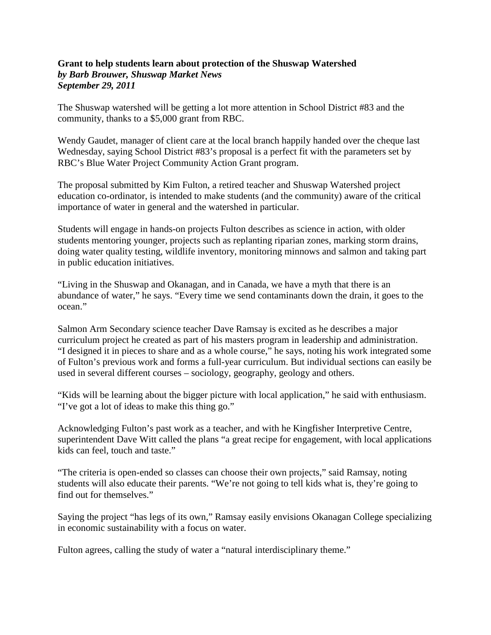## **Grant to help students learn about protection of the Shuswap Watershed** *by Barb Brouwer, Shuswap Market News September 29, 2011*

The Shuswap watershed will be getting a lot more attention in School District #83 and the community, thanks to a \$5,000 grant from RBC.

Wendy Gaudet, manager of client care at the local branch happily handed over the cheque last Wednesday, saying School District #83's proposal is a perfect fit with the parameters set by RBC's Blue Water Project Community Action Grant program.

The proposal submitted by Kim Fulton, a retired teacher and Shuswap Watershed project education co-ordinator, is intended to make students (and the community) aware of the critical importance of water in general and the watershed in particular.

Students will engage in hands-on projects Fulton describes as science in action, with older students mentoring younger, projects such as replanting riparian zones, marking storm drains, doing water quality testing, wildlife inventory, monitoring minnows and salmon and taking part in public education initiatives.

"Living in the Shuswap and Okanagan, and in Canada, we have a myth that there is an abundance of water," he says. "Every time we send contaminants down the drain, it goes to the ocean."

Salmon Arm Secondary science teacher Dave Ramsay is excited as he describes a major curriculum project he created as part of his masters program in leadership and administration. "I designed it in pieces to share and as a whole course," he says, noting his work integrated some of Fulton's previous work and forms a full-year curriculum. But individual sections can easily be used in several different courses – sociology, geography, geology and others.

"Kids will be learning about the bigger picture with local application," he said with enthusiasm. "I've got a lot of ideas to make this thing go."

Acknowledging Fulton's past work as a teacher, and with he Kingfisher Interpretive Centre, superintendent Dave Witt called the plans "a great recipe for engagement, with local applications kids can feel, touch and taste."

"The criteria is open-ended so classes can choose their own projects," said Ramsay, noting students will also educate their parents. "We're not going to tell kids what is, they're going to find out for themselves."

Saying the project "has legs of its own," Ramsay easily envisions Okanagan College specializing in economic sustainability with a focus on water.

Fulton agrees, calling the study of water a "natural interdisciplinary theme."